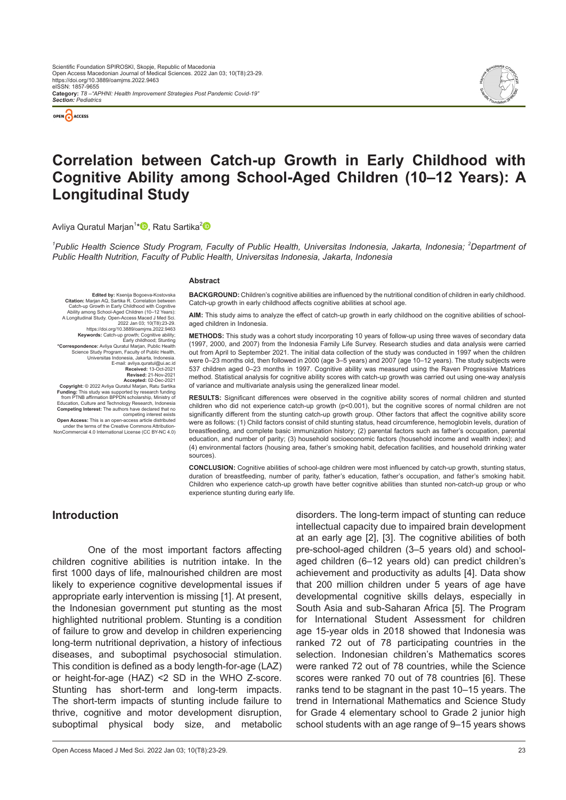

*Section: Pediatrics*



# **Correlation between Catch-up Growth in Early Childhood with Cognitive Ability among School-Aged Children (10–12 Years): A Longitudinal Study**

Avliya Quratul Marjan<sup>1</sup>[\\*](https://orcid.org/0000-0002-9539-9653)❶, Ratu Sartika<sup>[2](https://orcid.org/0000-0001-5018-7625)</sup>

<sup>1</sup>Public Health Science Study Program, Faculty of Public Health, Universitas Indonesia, Jakarta, Indonesia; <sup>2</sup>Department of *Public Health Nutrition, Faculty of Public Health, Universitas Indonesia, Jakarta, Indonesia*

#### **Abstract**

**Edited by:** Ksenija Bogoeva-Kostovska<br>**Citation:** Marjan AQ, Sartika R. Correlation between<br>Catch-up Growth in Early Childhood with Cognitive<br>Ability among School-Aged Children (10–12 Years): A Longitudinal Study. Open-Access Maced J Med Sci. 2022 Jan 03; 10(T8):23-29.<br>https://doi.org/10.3889/oamims.2022.9463 https://doi.org/10.3889/oamjms.2022.9463<br>Keywords: Catch-up growth; Cognitive ability;<br>Early childhood; Stunting<br>Correspondence: Aviiya Quratul Marjan, Public Health<br>Science Study Program, Faculty of Public Health<br>Universi E-mail: avliya.quratul@ui.ac.id **Received:** 13-Oct-2021<br>**Revised:** 21-Nov-2021 Revised: 21-Nov-2021<br>Recepted: 02-Dec-2021<br>Funding: This study was supported by research funding:<br>Funding: This study was supported by research funding<br>from PTNB affirmation BPPDN scholarship, Ministry of Education, Culture and Technology Research, Indonesia **Competing Interest:** The authors have declared that no

competing interest exists<br>**Open Access:** This is an open-access article distribution-<br>under the terms of the Creative Commons Attribution-<br>NonCommercial 4.0 International License (CC BY-NC 4.0)

**BACKGROUND:** Children's cognitive abilities are influenced by the nutritional condition of children in early childhood. Catch-up growth in early childhood affects cognitive abilities at school age.

**AIM:** This study aims to analyze the effect of catch-up growth in early childhood on the cognitive abilities of schoolaged children in Indonesia.

**METHODS:** This study was a cohort study incorporating 10 years of follow-up using three waves of secondary data (1997, 2000, and 2007) from the Indonesia Family Life Survey. Research studies and data analysis were carried out from April to September 2021. The initial data collection of the study was conducted in 1997 when the children were 0–23 months old, then followed in 2000 (age 3–5 years) and 2007 (age 10–12 years). The study subjects were 537 children aged 0–23 months in 1997. Cognitive ability was measured using the Raven Progressive Matrices method. Statistical analysis for cognitive ability scores with catch-up growth was carried out using one-way analysis of variance and multivariate analysis using the generalized linear model.

**RESULTS:** Significant differences were observed in the cognitive ability scores of normal children and stunted children who did not experience catch-up growth (p<0.001), but the cognitive scores of normal children are not significantly different from the stunting catch-up growth group. Other factors that affect the cognitive ability score were as follows: (1) Child factors consist of child stunting status, head circumference, hemoglobin levels, duration of breastfeeding, and complete basic immunization history; (2) parental factors such as father's occupation, parental education, and number of parity; (3) household socioeconomic factors (household income and wealth index); and (4) environmental factors (housing area, father's smoking habit, defecation facilities, and household drinking water sources).

**CONCLUSION:** Cognitive abilities of school-age children were most influenced by catch-up growth, stunting status, duration of breastfeeding, number of parity, father's education, father's occupation, and father's smoking habit. Children who experience catch-up growth have better cognitive abilities than stunted non-catch-up group or who experience stunting during early life.

### **Introduction**

One of the most important factors affecting children cognitive abilities is nutrition intake. In the first 1000 days of life, malnourished children are most likely to experience cognitive developmental issues if appropriate early intervention is missing [1]. At present, the Indonesian government put stunting as the most highlighted nutritional problem. Stunting is a condition of failure to grow and develop in children experiencing long-term nutritional deprivation, a history of infectious diseases, and suboptimal psychosocial stimulation. This condition is defined as a body length-for-age (LAZ) or height-for-age (HAZ) <2 SD in the WHO Z-score. Stunting has short-term and long-term impacts. The short-term impacts of stunting include failure to thrive, cognitive and motor development disruption, suboptimal physical body size, and metabolic disorders. The long-term impact of stunting can reduce intellectual capacity due to impaired brain development at an early age [2], [3]. The cognitive abilities of both pre-school-aged children (3–5 years old) and schoolaged children (6–12 years old) can predict children's achievement and productivity as adults [4]. Data show that 200 million children under 5 years of age have developmental cognitive skills delays, especially in South Asia and sub-Saharan Africa [5]. The Program for International Student Assessment for children age 15-year olds in 2018 showed that Indonesia was ranked 72 out of 78 participating countries in the selection. Indonesian children's Mathematics scores were ranked 72 out of 78 countries, while the Science scores were ranked 70 out of 78 countries [6]. These ranks tend to be stagnant in the past 10–15 years. The trend in International Mathematics and Science Study for Grade 4 elementary school to Grade 2 junior high school students with an age range of 9–15 years shows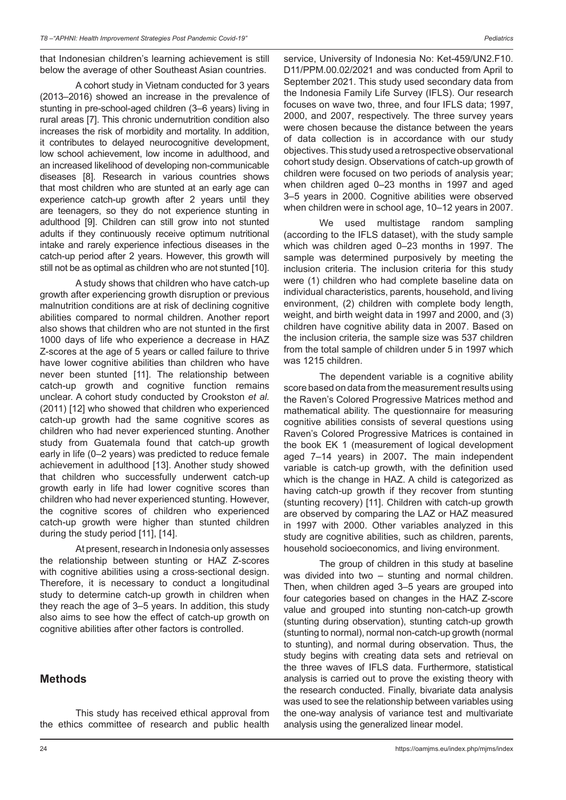that Indonesian children's learning achievement is still below the average of other Southeast Asian countries.

A cohort study in Vietnam conducted for 3 years (2013–2016) showed an increase in the prevalence of stunting in pre-school-aged children (3–6 years) living in rural areas [7]. This chronic undernutrition condition also increases the risk of morbidity and mortality. In addition, it contributes to delayed neurocognitive development, low school achievement, low income in adulthood, and an increased likelihood of developing non-communicable diseases [8]. Research in various countries shows that most children who are stunted at an early age can experience catch-up growth after 2 years until they are teenagers, so they do not experience stunting in adulthood [9]. Children can still grow into not stunted adults if they continuously receive optimum nutritional intake and rarely experience infectious diseases in the catch-up period after 2 years. However, this growth will still not be as optimal as children who are not stunted [10].

A study shows that children who have catch-up growth after experiencing growth disruption or previous malnutrition conditions are at risk of declining cognitive abilities compared to normal children. Another report also shows that children who are not stunted in the first 1000 days of life who experience a decrease in HAZ Z-scores at the age of 5 years or called failure to thrive have lower cognitive abilities than children who have never been stunted [11]. The relationship between catch-up growth and cognitive function remains unclear. A cohort study conducted by Crookston *et al.* (2011) [12] who showed that children who experienced catch-up growth had the same cognitive scores as children who had never experienced stunting. Another study from Guatemala found that catch-up growth early in life (0–2 years) was predicted to reduce female achievement in adulthood [13]. Another study showed that children who successfully underwent catch-up growth early in life had lower cognitive scores than children who had never experienced stunting. However, the cognitive scores of children who experienced catch-up growth were higher than stunted children during the study period [11], [14].

At present, research in Indonesia only assesses the relationship between stunting or HAZ Z-scores with cognitive abilities using a cross-sectional design. Therefore, it is necessary to conduct a longitudinal study to determine catch-up growth in children when they reach the age of 3–5 years. In addition, this study also aims to see how the effect of catch-up growth on cognitive abilities after other factors is controlled.

### **Methods**

This study has received ethical approval from the ethics committee of research and public health service, University of Indonesia No: Ket-459/UN2.F10. D11/PPM.00.02/2021 and was conducted from April to September 2021. This study used secondary data from the Indonesia Family Life Survey (IFLS). Our research focuses on wave two, three, and four IFLS data; 1997, 2000, and 2007, respectively. The three survey years were chosen because the distance between the years of data collection is in accordance with our study objectives. This study used a retrospective observational cohort study design. Observations of catch-up growth of children were focused on two periods of analysis year; when children aged 0–23 months in 1997 and aged 3–5 years in 2000. Cognitive abilities were observed when children were in school age, 10–12 years in 2007.

We used multistage random sampling (according to the IFLS dataset), with the study sample which was children aged 0–23 months in 1997. The sample was determined purposively by meeting the inclusion criteria. The inclusion criteria for this study were (1) children who had complete baseline data on individual characteristics, parents, household, and living environment, (2) children with complete body length, weight, and birth weight data in 1997 and 2000, and (3) children have cognitive ability data in 2007. Based on the inclusion criteria, the sample size was 537 children from the total sample of children under 5 in 1997 which was 1215 children.

The dependent variable is a cognitive ability score based on data from the measurement results using the Raven's Colored Progressive Matrices method and mathematical ability. The questionnaire for measuring cognitive abilities consists of several questions using Raven's Colored Progressive Matrices is contained in the book EK 1 (measurement of logical development aged 7–14 years) in 2007**.** The main independent variable is catch-up growth, with the definition used which is the change in HAZ. A child is categorized as having catch-up growth if they recover from stunting (stunting recovery) [11]. Children with catch-up growth are observed by comparing the LAZ or HAZ measured in 1997 with 2000. Other variables analyzed in this study are cognitive abilities, such as children, parents, household socioeconomics, and living environment.

The group of children in this study at baseline was divided into two – stunting and normal children. Then, when children aged 3–5 years are grouped into four categories based on changes in the HAZ Z-score value and grouped into stunting non-catch-up growth (stunting during observation), stunting catch-up growth (stunting to normal), normal non-catch-up growth (normal to stunting), and normal during observation. Thus, the study begins with creating data sets and retrieval on the three waves of IFLS data. Furthermore, statistical analysis is carried out to prove the existing theory with the research conducted. Finally, bivariate data analysis was used to see the relationship between variables using the one-way analysis of variance test and multivariate analysis using the generalized linear model.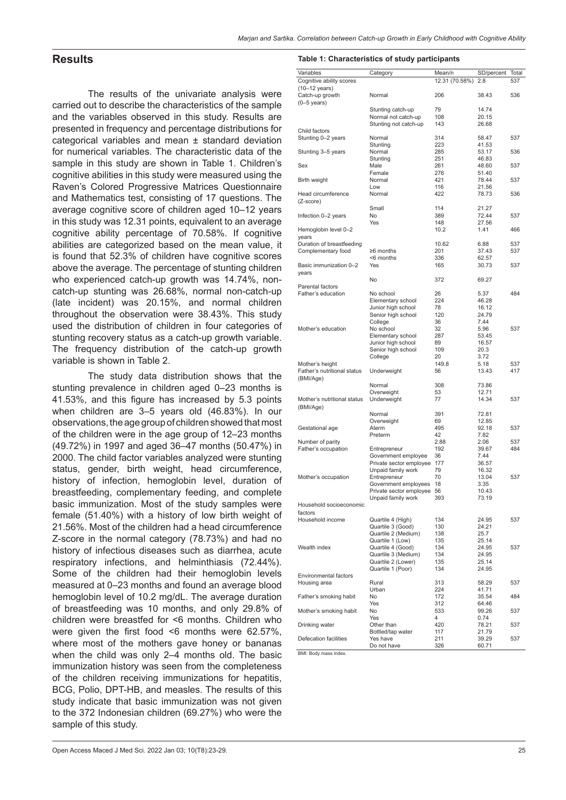### **Results**

The results of the univariate analysis were carried out to describe the characteristics of the sample and the variables observed in this study. Results are presented in frequency and percentage distributions for categorical variables and mean ± standard deviation for numerical variables. The characteristic data of the sample in this study are shown in Table 1. Children's cognitive abilities in this study were measured using the Raven's Colored Progressive Matrices Questionnaire and Mathematics test, consisting of 17 questions. The average cognitive score of children aged 10–12 years in this study was 12.31 points, equivalent to an average cognitive ability percentage of 70.58%. If cognitive abilities are categorized based on the mean value, it is found that 52.3% of children have cognitive scores above the average. The percentage of stunting children who experienced catch-up growth was 14.74%, noncatch-up stunting was 26.68%, normal non-catch-up (late incident) was 20.15%, and normal children throughout the observation were 38.43%. This study used the distribution of children in four categories of stunting recovery status as a catch-up growth variable. The frequency distribution of the catch-up growth variable is shown in Table 2.

The study data distribution shows that the stunting prevalence in children aged 0–23 months is 41.53%, and this figure has increased by 5.3 points when children are 3–5 years old (46.83%). In our observations, the age group of children showed that most of the children were in the age group of 12–23 months (49.72%) in 1997 and aged 36–47 months (50.47%) in 2000. The child factor variables analyzed were stunting status, gender, birth weight, head circumference, history of infection, hemoglobin level, duration of breastfeeding, complementary feeding, and complete basic immunization. Most of the study samples were female (51.40%) with a history of low birth weight of 21.56%. Most of the children had a head circumference Z-score in the normal category (78.73%) and had no history of infectious diseases such as diarrhea, acute respiratory infections, and helminthiasis (72.44%). Some of the children had their hemoglobin levels measured at 0–23 months and found an average blood hemoglobin level of 10.2 mg/dL. The average duration of breastfeeding was 10 months, and only 29.8% of children were breastfed for <6 months. Children who were given the first food <6 months were 62.57%, where most of the mothers gave honey or bananas when the child was only 2–4 months old. The basic immunization history was seen from the completeness of the children receiving immunizations for hepatitis, BCG, Polio, DPT-HB, and measles. The results of this study indicate that basic immunization was not given to the 372 Indonesian children (69.27%) who were the sample of this study.

#### **Table 1: Characteristics of study participants**

| Variables                    | Category                    | Mean/n         | SD/percent | Total |
|------------------------------|-----------------------------|----------------|------------|-------|
| Cognitive ability scores     |                             | 12.31 (70.58%) | 2.8        | 537   |
| (10-12 years)                |                             |                |            |       |
| Catch-up growth              | Normal                      | 206            | 38.43      | 536   |
| $(0-5 \text{ years})$        |                             |                |            |       |
|                              | Stunting catch-up           | 79             | 14.74      |       |
|                              | Normal not catch-up         | 108            | 20.15      |       |
|                              | Stunting not catch-up       | 143            | 26.68      |       |
| Child factors                |                             |                |            |       |
| Stunting 0-2 years           | Normal                      | 314            | 58.47      | 537   |
|                              | Stunting                    | 223            | 41.53      |       |
|                              | Normal                      | 285            | 53.17      | 536   |
| Stunting 3–5 years           |                             | 251            | 46.83      |       |
| Sex                          | Stunting<br>Male            | 261            | 48.60      | 537   |
|                              | Female                      | 276            | 51.40      |       |
|                              |                             | 421            | 78.44      |       |
| Birth weight                 | Normal                      |                |            | 537   |
|                              | Low                         | 116            | 21.56      | 536   |
| Head circumference           | Normal                      | 422            | 78.73      |       |
| (Z-score)                    |                             |                |            |       |
|                              | Small                       | 114            | 21.27      |       |
| Infection 0-2 years          | No                          | 389            | 72.44      | 537   |
|                              | Yes                         | 148            | 27.56      |       |
| Hemoglobin level 0-2         |                             | 10.2           | 1.41       | 466   |
| years                        |                             |                |            |       |
| Duration of breastfeeding    |                             | 10.62          | 6.88       | 537   |
| Complementary food           | ≥6 months                   | 201            | 37.43      | 537   |
|                              | <6 months                   | 336            | 62.57      |       |
| Basic immunization 0-2       | Yes                         | 165            | 30.73      | 537   |
| years                        |                             |                |            |       |
|                              | No                          | 372            | 69.27      |       |
| Parental factors             |                             |                |            |       |
| Father's education           | No school                   | 26             | 5.37       | 484   |
|                              | Elementary school           | 224            | 46.28      |       |
|                              | Junior high school          | 78             | 16.12      |       |
|                              | Senior high school          | 120            | 24.79      |       |
|                              | College                     | 36             | 7.44       |       |
| Mother's education           | No school                   | 32             | 5.96       | 537   |
|                              | Elementary school           | 287            | 53.45      |       |
|                              | Junior high school          | 89             | 16.57      |       |
|                              | Senior high school          | 109            | 20.3       |       |
|                              | College                     | 20             | 3.72       |       |
| Mother's height              |                             | 149.8          | 5.18       | 537   |
| Father's nutritional status  | Underweight                 | 56             | 13.43      | 417   |
|                              |                             |                |            |       |
| (BMI/Age)                    | Normal                      | 308            | 73.86      |       |
|                              |                             | 53             | 12.71      |       |
| Mother's nutritional status  | Overweight                  | 77             | 14.34      | 537   |
|                              | Underweight                 |                |            |       |
| (BMI/Age)                    |                             |                |            |       |
|                              | Normal                      | 391            | 72.81      |       |
|                              | Overweight                  | 69             | 12.85      |       |
| Gestational age              | Aterm                       | 495            | 92.18      | 537   |
|                              | Preterm                     | 42             | 7.82       |       |
| Number of parity             |                             | 2.88           | 2.06       | 537   |
| Father's occupation          | Entrepreneur                | 192            | 39.67      | 484   |
|                              | Government employee         | 36             | 7.44       |       |
|                              | Private sector employee 177 |                | 36.57      |       |
|                              | Unpaid family work          | 79             | 16.32      |       |
| Mother's occupation          | Entrepreneur                | 70             | 13.04      | 537   |
|                              | Government employees        | 18             | 3.35       |       |
|                              | Private sector employee 56  |                | 10.43      |       |
|                              | Unpaid family work          | 393            | 73.19      |       |
| Household socioeconomic      |                             |                |            |       |
| factors                      |                             |                |            |       |
| Household income             | Quartile 4 (High)           | 134            | 24.95      | 537   |
|                              | Quartile 3 (Good)           | 130            | 24.21      |       |
|                              | Quartile 2 (Medium)         | 138            | 25.7       |       |
|                              | Quartile 1 (Low)            | 135            | 25.14      |       |
| Wealth index                 | Quartile 4 (Good)           | 134            | 24.95      | 537   |
|                              | Quartile 3 (Medium)         | 134            | 24.95      |       |
|                              | Quartile 2 (Lower)          | 135            | 25.14      |       |
|                              | Quartile 1 (Poor)           | 134            | 24.95      |       |
| <b>Environmental factors</b> |                             |                |            |       |
| Housing area                 | Rural                       | 313            | 58.29      | 537   |
|                              | Urban                       | 224            | 41.71      |       |
| Father's smoking habit       | No                          | 172            | 35.54      | 484   |
|                              | Yes                         | 312            | 64.46      |       |
| Mother's smoking habit       | No                          | 533            | 99.26      | 537   |
|                              | Yes                         | 4              | 0.74       |       |
| Drinking water               | Other than                  | 420            | 78.21      | 537   |
|                              | Bottled/tap water           | 117            | 21.79      |       |
| Defecation facilities        | Yes have                    | 211            | 39.29      | 537   |
|                              | Do not have                 | 326            | 60.71      |       |

BMI: Body mass index.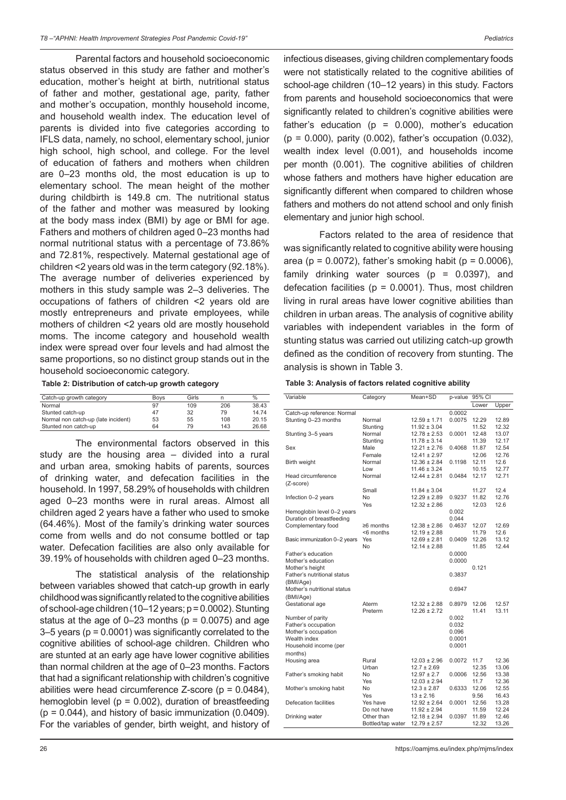Parental factors and household socioeconomic status observed in this study are father and mother's education, mother's height at birth, nutritional status of father and mother, gestational age, parity, father and mother's occupation, monthly household income, and household wealth index. The education level of parents is divided into five categories according to IFLS data, namely, no school, elementary school, junior high school, high school, and college. For the level of education of fathers and mothers when children are 0–23 months old, the most education is up to elementary school. The mean height of the mother during childbirth is 149.8 cm. The nutritional status of the father and mother was measured by looking at the body mass index (BMI) by age or BMI for age. Fathers and mothers of children aged 0–23 months had normal nutritional status with a percentage of 73.86% and 72.81%, respectively. Maternal gestational age of children <2 years old was in the term category (92.18%). The average number of deliveries experienced by mothers in this study sample was 2–3 deliveries. The occupations of fathers of children <2 years old are mostly entrepreneurs and private employees, while mothers of children <2 years old are mostly household moms. The income category and household wealth index were spread over four levels and had almost the same proportions, so no distinct group stands out in the household socioeconomic category.

**Table 2: Distribution of catch-up growth category**

| Catch-up growth category            | <b>Boys</b> | Girls |     | $\%$  |
|-------------------------------------|-------------|-------|-----|-------|
| Normal                              | 97          | 109   | 206 | 38.43 |
| Stunted catch-up                    | 47          | 32    | 79  | 14.74 |
| Normal non catch-up (late incident) | 53          | 55    | 108 | 20.15 |
| Stunted non catch-up                | 64          | 79    | 143 | 26.68 |

The environmental factors observed in this study are the housing area – divided into a rural and urban area, smoking habits of parents, sources of drinking water, and defecation facilities in the household. In 1997, 58.29% of households with children aged 0–23 months were in rural areas. Almost all children aged 2 years have a father who used to smoke (64.46%). Most of the family's drinking water sources come from wells and do not consume bottled or tap water. Defecation facilities are also only available for 39.19% of households with children aged 0–23 months.

The statistical analysis of the relationship between variables showed that catch-up growth in early childhood was significantly related to the cognitive abilities of school-age children (10–12 years; p = 0.0002). Stunting status at the age of  $0-23$  months ( $p = 0.0075$ ) and age 3–5 years (p = 0.0001) was significantly correlated to the cognitive abilities of school-age children. Children who are stunted at an early age have lower cognitive abilities than normal children at the age of 0–23 months. Factors that had a significant relationship with children's cognitive abilities were head circumference Z-score ( $p = 0.0484$ ), hemoglobin level ( $p = 0.002$ ), duration of breastfeeding  $(p = 0.044)$ , and history of basic immunization  $(0.0409)$ . For the variables of gender, birth weight, and history of infectious diseases, giving children complementary foods were not statistically related to the cognitive abilities of school-age children (10–12 years) in this study. Factors from parents and household socioeconomics that were significantly related to children's cognitive abilities were father's education ( $p = 0.000$ ), mother's education (p = 0.000), parity (0.002), father's occupation (0.032), wealth index level (0.001), and households income per month (0.001). The cognitive abilities of children whose fathers and mothers have higher education are significantly different when compared to children whose fathers and mothers do not attend school and only finish elementary and junior high school.

Factors related to the area of residence that was significantly related to cognitive ability were housing area (p =  $0.0072$ ), father's smoking habit (p =  $0.0006$ ), family drinking water sources ( $p = 0.0397$ ), and defecation facilities ( $p = 0.0001$ ). Thus, most children living in rural areas have lower cognitive abilities than children in urban areas. The analysis of cognitive ability variables with independent variables in the form of stunting status was carried out utilizing catch-up growth defined as the condition of recovery from stunting. The analysis is shown in Table 3.

| Table 3: Analysis of factors related cognitive ability |  |  |  |
|--------------------------------------------------------|--|--|--|
|--------------------------------------------------------|--|--|--|

| Variable                     | Category          | Mean+SD          | p-value 95% CI |       |       |
|------------------------------|-------------------|------------------|----------------|-------|-------|
|                              |                   |                  |                | Lower | Upper |
| Catch-up reference: Normal   |                   |                  | 0.0002         |       |       |
| Stunting 0-23 months         | Normal            | $12.59 \pm 1.71$ | 0.0075         | 12.29 | 12.89 |
|                              | Stunting          | $11.92 \pm 3.04$ |                | 11.52 | 12.32 |
| Stunting 3–5 years           | Normal            | $12.78 \pm 2.53$ | 0.0001         | 12.48 | 13.07 |
|                              | Stunting          | $11.78 \pm 3.14$ |                | 11.39 | 12.17 |
| Sex                          | Male              | $12.21 \pm 2.76$ | 0.4068         | 11.87 | 12.54 |
|                              | Female            | $12.41 \pm 2.97$ |                | 12.06 | 12.76 |
| Birth weight                 | Normal            | $12.36 \pm 2.84$ | 0.1198         | 12.11 | 12.6  |
|                              | Low               | $11.46 \pm 3.24$ |                | 10.15 | 12.77 |
| Head circumference           | Normal            | $12.44 \pm 2.81$ | 0.0484         | 12.17 | 12.71 |
| (Z-score)                    |                   |                  |                |       |       |
|                              | Small             | $11.84 \pm 3.04$ |                | 11.27 | 12.4  |
| Infection 0-2 years          | No                | $12.29 \pm 2.89$ | 0.9237         | 11.82 | 12.76 |
|                              | Yes               | $12.32 \pm 2.86$ |                | 12.03 | 12.6  |
| Hemoglobin level 0-2 years   |                   |                  | 0.002          |       |       |
| Duration of breastfeeding    |                   |                  | 0.044          |       |       |
| Complementary food           | ≥6 months         | $12.38 \pm 2.86$ | 0.4637         | 12.07 | 12.69 |
|                              | <6 months         | $12.19 \pm 2.88$ |                | 11.79 | 12.6  |
| Basic immunization 0-2 years | Yes               | $12.69 \pm 2.81$ | 0.0409         | 12.26 | 13.12 |
|                              | No                | $12.14 \pm 2.88$ |                | 11.85 | 12.44 |
| Father's education           |                   |                  | 0.0000         |       |       |
| Mother's education           |                   |                  | 0.0000         |       |       |
| Mother's height              |                   |                  |                | 0.121 |       |
| Father's nutritional status  |                   |                  | 0.3837         |       |       |
| (BMI/Age)                    |                   |                  |                |       |       |
| Mother's nutritional status  |                   |                  | 0.6947         |       |       |
| (BMI/Age)                    |                   |                  |                |       |       |
| Gestational age              | Aterm             | $12.32 \pm 2.88$ | 0.8979         | 12.06 | 12.57 |
|                              | Preterm           | $12.26 \pm 2.72$ |                | 11.41 | 13.11 |
| Number of parity             |                   |                  | 0.002          |       |       |
| Father's occupation          |                   |                  | 0.032          |       |       |
| Mother's occupation          |                   |                  | 0.096          |       |       |
| Wealth index                 |                   |                  | 0.0001         |       |       |
| Household income (per        |                   |                  | 0.0001         |       |       |
| months)                      |                   |                  |                |       |       |
| Housing area                 | Rural             | $12.03 \pm 2.96$ | 0.0072         | 11.7  | 12.36 |
|                              | Urban             | $12.7 \pm 2.69$  |                | 12.35 | 13.06 |
| Father's smoking habit       | No                | $12.97 \pm 2.7$  | 0.0006         | 12.56 | 13.38 |
|                              | Yes               | $12.03 \pm 2.94$ |                | 11.7  | 12.36 |
| Mother's smoking habit       | No                | $12.3 \pm 2.87$  | 0.6333         | 12.06 | 12.55 |
|                              | Yes               | $13 \pm 2.16$    |                | 9.56  | 16.43 |
| Defecation facilities        | Yes have          | $12.92 \pm 2.64$ | 0.0001         | 12.56 | 13.28 |
|                              | Do not have       | $11.92 \pm 2.94$ |                | 11.59 | 12.24 |
| Drinking water               | Other than        | $12.18 \pm 2.94$ | 0.0397         | 11.89 | 12.46 |
|                              | Bottled/tap water | $12.79 \pm 2.57$ |                | 12.32 | 13.26 |
|                              |                   |                  |                |       |       |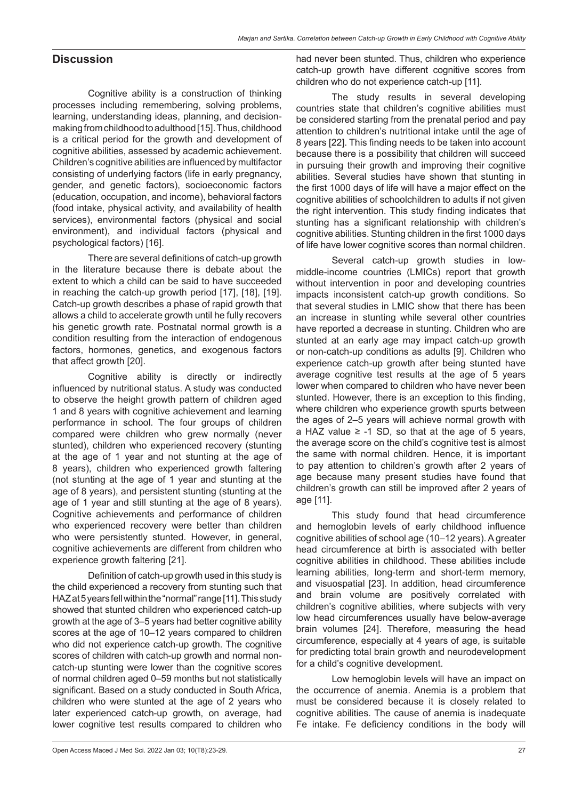## **Discussion**

Cognitive ability is a construction of thinking processes including remembering, solving problems, learning, understanding ideas, planning, and decisionmaking from childhood to adulthood [15]. Thus, childhood is a critical period for the growth and development of cognitive abilities, assessed by academic achievement. Children's cognitive abilities are influenced by multifactor consisting of underlying factors (life in early pregnancy, gender, and genetic factors), socioeconomic factors (education, occupation, and income), behavioral factors (food intake, physical activity, and availability of health services), environmental factors (physical and social environment), and individual factors (physical and psychological factors) [16].

There are several definitions of catch-up growth in the literature because there is debate about the extent to which a child can be said to have succeeded in reaching the catch-up growth period [17], [18], [19]. Catch-up growth describes a phase of rapid growth that allows a child to accelerate growth until he fully recovers his genetic growth rate. Postnatal normal growth is a condition resulting from the interaction of endogenous factors, hormones, genetics, and exogenous factors that affect growth [20].

Cognitive ability is directly or indirectly influenced by nutritional status. A study was conducted to observe the height growth pattern of children aged 1 and 8 years with cognitive achievement and learning performance in school. The four groups of children compared were children who grew normally (never stunted), children who experienced recovery (stunting at the age of 1 year and not stunting at the age of 8 years), children who experienced growth faltering (not stunting at the age of 1 year and stunting at the age of 8 years), and persistent stunting (stunting at the age of 1 year and still stunting at the age of 8 years). Cognitive achievements and performance of children who experienced recovery were better than children who were persistently stunted. However, in general, cognitive achievements are different from children who experience growth faltering [21].

Definition of catch-up growth used in this study is the child experienced a recovery from stunting such that HAZ at 5years fell within the "normal" range [11]. This study showed that stunted children who experienced catch-up growth at the age of 3–5 years had better cognitive ability scores at the age of 10–12 years compared to children who did not experience catch-up growth. The cognitive scores of children with catch-up growth and normal noncatch-up stunting were lower than the cognitive scores of normal children aged 0–59 months but not statistically significant. Based on a study conducted in South Africa, children who were stunted at the age of 2 years who later experienced catch-up growth, on average, had lower cognitive test results compared to children who had never been stunted. Thus, children who experience catch-up growth have different cognitive scores from children who do not experience catch-up [11].

The study results in several developing countries state that children's cognitive abilities must be considered starting from the prenatal period and pay attention to children's nutritional intake until the age of 8 years [22]. This finding needs to be taken into account because there is a possibility that children will succeed in pursuing their growth and improving their cognitive abilities. Several studies have shown that stunting in the first 1000 days of life will have a major effect on the cognitive abilities of schoolchildren to adults if not given the right intervention. This study finding indicates that stunting has a significant relationship with children's cognitive abilities. Stunting children in the first 1000 days of life have lower cognitive scores than normal children.

Several catch-up growth studies in lowmiddle-income countries (LMICs) report that growth without intervention in poor and developing countries impacts inconsistent catch-up growth conditions. So that several studies in LMIC show that there has been an increase in stunting while several other countries have reported a decrease in stunting. Children who are stunted at an early age may impact catch-up growth or non-catch-up conditions as adults [9]. Children who experience catch-up growth after being stunted have average cognitive test results at the age of 5 years lower when compared to children who have never been stunted. However, there is an exception to this finding, where children who experience growth spurts between the ages of 2–5 years will achieve normal growth with a HAZ value ≥ -1 SD, so that at the age of 5 years, the average score on the child's cognitive test is almost the same with normal children. Hence, it is important to pay attention to children's growth after 2 years of age because many present studies have found that children's growth can still be improved after 2 years of age [11].

This study found that head circumference and hemoglobin levels of early childhood influence cognitive abilities of school age (10–12 years). Agreater head circumference at birth is associated with better cognitive abilities in childhood. These abilities include learning abilities, long-term and short-term memory, and visuospatial [23]. In addition, head circumference and brain volume are positively correlated with children's cognitive abilities, where subjects with very low head circumferences usually have below-average brain volumes [24]. Therefore, measuring the head circumference, especially at 4 years of age, is suitable for predicting total brain growth and neurodevelopment for a child's cognitive development.

Low hemoglobin levels will have an impact on the occurrence of anemia. Anemia is a problem that must be considered because it is closely related to cognitive abilities. The cause of anemia is inadequate Fe intake. Fe deficiency conditions in the body will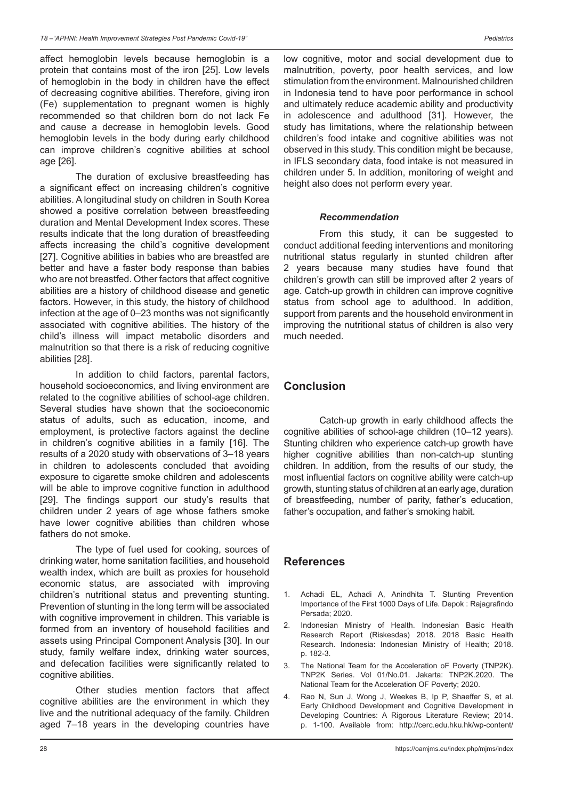affect hemoglobin levels because hemoglobin is a protein that contains most of the iron [25]. Low levels of hemoglobin in the body in children have the effect of decreasing cognitive abilities. Therefore, giving iron (Fe) supplementation to pregnant women is highly recommended so that children born do not lack Fe and cause a decrease in hemoglobin levels. Good hemoglobin levels in the body during early childhood can improve children's cognitive abilities at school age [26].

The duration of exclusive breastfeeding has a significant effect on increasing children's cognitive abilities. A longitudinal study on children in South Korea showed a positive correlation between breastfeeding duration and Mental Development Index scores. These results indicate that the long duration of breastfeeding affects increasing the child's cognitive development [27]. Cognitive abilities in babies who are breastfed are better and have a faster body response than babies who are not breastfed. Other factors that affect cognitive abilities are a history of childhood disease and genetic factors. However, in this study, the history of childhood infection at the age of 0–23 months was not significantly associated with cognitive abilities. The history of the child's illness will impact metabolic disorders and malnutrition so that there is a risk of reducing cognitive abilities [28].

In addition to child factors, parental factors, household socioeconomics, and living environment are related to the cognitive abilities of school-age children. Several studies have shown that the socioeconomic status of adults, such as education, income, and employment, is protective factors against the decline in children's cognitive abilities in a family [16]. The results of a 2020 study with observations of 3–18 years in children to adolescents concluded that avoiding exposure to cigarette smoke children and adolescents will be able to improve cognitive function in adulthood [29]. The findings support our study's results that children under 2 years of age whose fathers smoke have lower cognitive abilities than children whose fathers do not smoke.

The type of fuel used for cooking, sources of drinking water, home sanitation facilities, and household wealth index, which are built as proxies for household economic status, are associated with improving children's nutritional status and preventing stunting. Prevention of stunting in the long term will be associated with cognitive improvement in children. This variable is formed from an inventory of household facilities and assets using Principal Component Analysis [30]. In our study, family welfare index, drinking water sources, and defecation facilities were significantly related to cognitive abilities.

Other studies mention factors that affect cognitive abilities are the environment in which they live and the nutritional adequacy of the family. Children aged 7–18 years in the developing countries have low cognitive, motor and social development due to malnutrition, poverty, poor health services, and low stimulation from the environment. Malnourished children in Indonesia tend to have poor performance in school and ultimately reduce academic ability and productivity in adolescence and adulthood [31]. However, the study has limitations, where the relationship between children's food intake and cognitive abilities was not observed in this study. This condition might be because, in IFLS secondary data, food intake is not measured in children under 5. In addition, monitoring of weight and height also does not perform every year.

### *Recommendation*

From this study, it can be suggested to conduct additional feeding interventions and monitoring nutritional status regularly in stunted children after 2 years because many studies have found that children's growth can still be improved after 2 years of age. Catch-up growth in children can improve cognitive status from school age to adulthood. In addition, support from parents and the household environment in improving the nutritional status of children is also very much needed.

## **Conclusion**

Catch-up growth in early childhood affects the cognitive abilities of school-age children (10–12 years). Stunting children who experience catch-up growth have higher cognitive abilities than non-catch-up stunting children. In addition, from the results of our study, the most influential factors on cognitive ability were catch-up growth, stunting status of children at an early age, duration of breastfeeding, number of parity, father's education, father's occupation, and father's smoking habit.

### **References**

- Achadi EL, Achadi A, Anindhita T. Stunting Prevention Importance of the First 1000 Days of Life. Depok : Rajagrafindo Persada; 2020.
- 2. Indonesian Ministry of Health. Indonesian Basic Health Research Report (Riskesdas) 2018. 2018 Basic Health Research. Indonesia: Indonesian Ministry of Health; 2018. p. 182-3.
- 3. The National Team for the Acceleration oF Poverty (TNP2K). TNP2K Series. Vol 01/No.01. Jakarta: TNP2K.2020. The National Team for the Acceleration OF Poverty; 2020.
- 4. Rao N, Sun J, Wong J, Weekes B, Ip P, Shaeffer S, et al. Early Childhood Development and Cognitive Development in Developing Countries: A Rigorous Literature Review; 2014. p. 1-100. Available from: http://cerc.edu.hku.hk/wp-content/